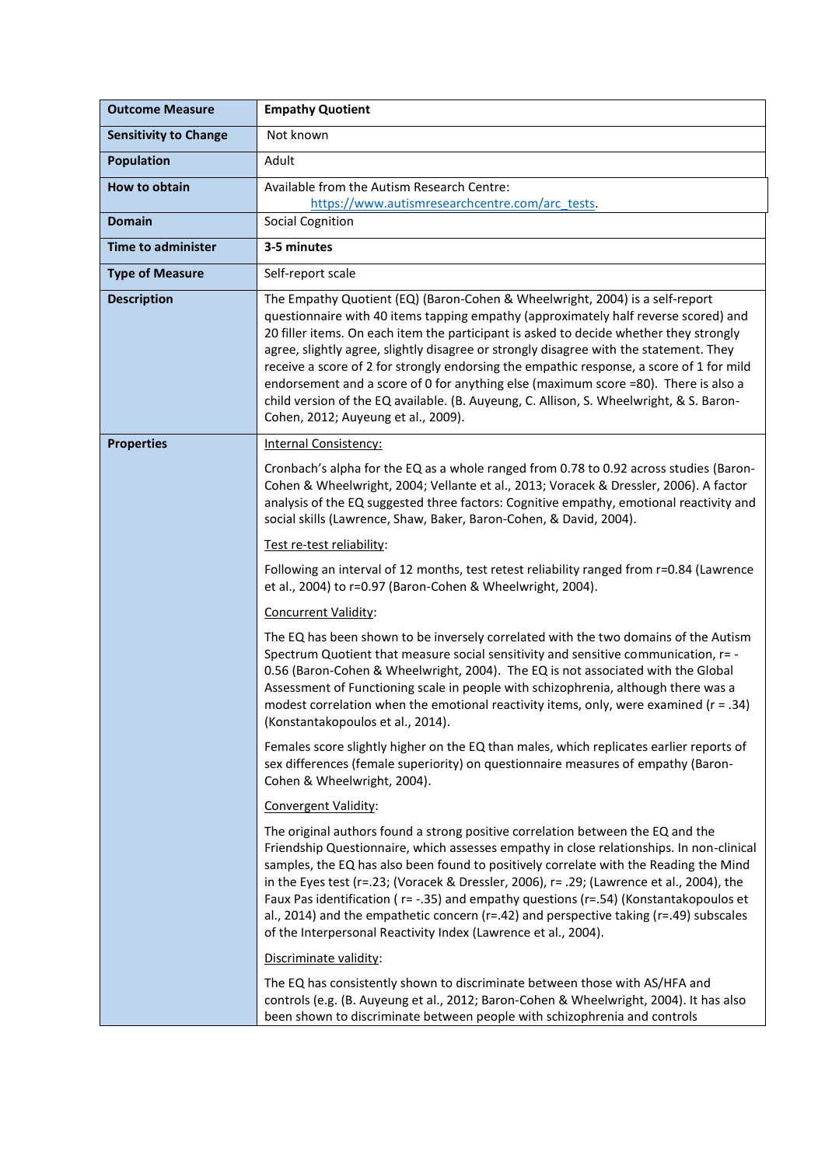| <b>Outcome Measure</b>       | <b>Empathy Quotient</b>                                                                                                                                                                                                                                                                                                                                                                                                                                                                                                                                                                                                                                                      |
|------------------------------|------------------------------------------------------------------------------------------------------------------------------------------------------------------------------------------------------------------------------------------------------------------------------------------------------------------------------------------------------------------------------------------------------------------------------------------------------------------------------------------------------------------------------------------------------------------------------------------------------------------------------------------------------------------------------|
| <b>Sensitivity to Change</b> | Not known                                                                                                                                                                                                                                                                                                                                                                                                                                                                                                                                                                                                                                                                    |
| <b>Population</b>            | Adult                                                                                                                                                                                                                                                                                                                                                                                                                                                                                                                                                                                                                                                                        |
| How to obtain                | Available from the Autism Research Centre:<br>https://www.autismresearchcentre.com/arc_tests.                                                                                                                                                                                                                                                                                                                                                                                                                                                                                                                                                                                |
| <b>Domain</b>                | <b>Social Cognition</b>                                                                                                                                                                                                                                                                                                                                                                                                                                                                                                                                                                                                                                                      |
| <b>Time to administer</b>    | 3-5 minutes                                                                                                                                                                                                                                                                                                                                                                                                                                                                                                                                                                                                                                                                  |
| <b>Type of Measure</b>       | Self-report scale                                                                                                                                                                                                                                                                                                                                                                                                                                                                                                                                                                                                                                                            |
| <b>Description</b>           | The Empathy Quotient (EQ) (Baron-Cohen & Wheelwright, 2004) is a self-report<br>questionnaire with 40 items tapping empathy (approximately half reverse scored) and<br>20 filler items. On each item the participant is asked to decide whether they strongly<br>agree, slightly agree, slightly disagree or strongly disagree with the statement. They<br>receive a score of 2 for strongly endorsing the empathic response, a score of 1 for mild<br>endorsement and a score of 0 for anything else (maximum score =80). There is also a<br>child version of the EQ available. (B. Auyeung, C. Allison, S. Wheelwright, & S. Baron-<br>Cohen, 2012; Auyeung et al., 2009). |
| <b>Properties</b>            | <b>Internal Consistency:</b>                                                                                                                                                                                                                                                                                                                                                                                                                                                                                                                                                                                                                                                 |
|                              | Cronbach's alpha for the EQ as a whole ranged from 0.78 to 0.92 across studies (Baron-<br>Cohen & Wheelwright, 2004; Vellante et al., 2013; Voracek & Dressler, 2006). A factor<br>analysis of the EQ suggested three factors: Cognitive empathy, emotional reactivity and<br>social skills (Lawrence, Shaw, Baker, Baron-Cohen, & David, 2004).                                                                                                                                                                                                                                                                                                                             |
|                              | Test re-test reliability:                                                                                                                                                                                                                                                                                                                                                                                                                                                                                                                                                                                                                                                    |
|                              | Following an interval of 12 months, test retest reliability ranged from r=0.84 (Lawrence<br>et al., 2004) to r=0.97 (Baron-Cohen & Wheelwright, 2004).                                                                                                                                                                                                                                                                                                                                                                                                                                                                                                                       |
|                              | Concurrent Validity:                                                                                                                                                                                                                                                                                                                                                                                                                                                                                                                                                                                                                                                         |
|                              | The EQ has been shown to be inversely correlated with the two domains of the Autism<br>Spectrum Quotient that measure social sensitivity and sensitive communication, r= -<br>0.56 (Baron-Cohen & Wheelwright, 2004). The EQ is not associated with the Global<br>Assessment of Functioning scale in people with schizophrenia, although there was a<br>modest correlation when the emotional reactivity items, only, were examined ( $r = .34$ )<br>(Konstantakopoulos et al., 2014).                                                                                                                                                                                       |
|                              | Females score slightly higher on the EQ than males, which replicates earlier reports of<br>sex differences (female superiority) on questionnaire measures of empathy (Baron-<br>Cohen & Wheelwright, 2004).                                                                                                                                                                                                                                                                                                                                                                                                                                                                  |
|                              | Convergent Validity:                                                                                                                                                                                                                                                                                                                                                                                                                                                                                                                                                                                                                                                         |
|                              | The original authors found a strong positive correlation between the EQ and the<br>Friendship Questionnaire, which assesses empathy in close relationships. In non-clinical<br>samples, the EQ has also been found to positively correlate with the Reading the Mind<br>in the Eyes test (r=.23; (Voracek & Dressler, 2006), r= .29; (Lawrence et al., 2004), the<br>Faux Pas identification (r= -.35) and empathy questions (r=.54) (Konstantakopoulos et<br>al., 2014) and the empathetic concern ( $r=42$ ) and perspective taking ( $r=49$ ) subscales<br>of the Interpersonal Reactivity Index (Lawrence et al., 2004).                                                 |
|                              | Discriminate validity:                                                                                                                                                                                                                                                                                                                                                                                                                                                                                                                                                                                                                                                       |
|                              | The EQ has consistently shown to discriminate between those with AS/HFA and<br>controls (e.g. (B. Auyeung et al., 2012; Baron-Cohen & Wheelwright, 2004). It has also<br>been shown to discriminate between people with schizophrenia and controls                                                                                                                                                                                                                                                                                                                                                                                                                           |